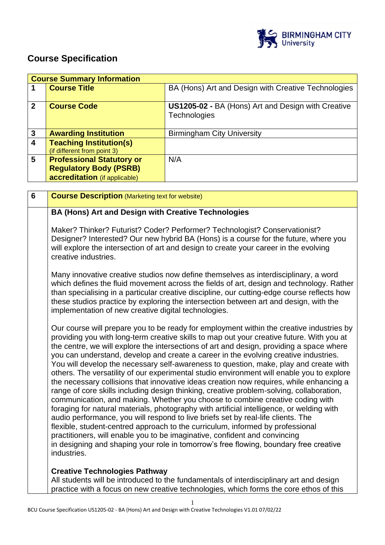

# **Course Specification**

|                         | <b>Course Summary Information</b> |                                                     |  |
|-------------------------|-----------------------------------|-----------------------------------------------------|--|
|                         | <b>Course Title</b>               | BA (Hons) Art and Design with Creative Technologies |  |
|                         |                                   |                                                     |  |
| $\mathbf{2}$            | <b>Course Code</b>                | US1205-02 - BA (Hons) Art and Design with Creative  |  |
|                         |                                   | Technologies                                        |  |
|                         |                                   |                                                     |  |
|                         |                                   |                                                     |  |
| 3                       | <b>Awarding Institution</b>       | <b>Birmingham City University</b>                   |  |
| $\overline{\mathbf{4}}$ | <b>Teaching Institution(s)</b>    |                                                     |  |
|                         | (if different from point 3)       |                                                     |  |
| 5                       | <b>Professional Statutory or</b>  | N/A                                                 |  |
|                         | <b>Regulatory Body (PSRB)</b>     |                                                     |  |
|                         | accreditation (if applicable)     |                                                     |  |

| 6 | <b>Course Description (Marketing text for website)</b>                                                                                                                                                                                                                                                                                                                                                                                                                                                                                                                                                                                                                                                                                                                                                                                                                                                                                                                                                                                                                                                                                                                                                                                                                                           |
|---|--------------------------------------------------------------------------------------------------------------------------------------------------------------------------------------------------------------------------------------------------------------------------------------------------------------------------------------------------------------------------------------------------------------------------------------------------------------------------------------------------------------------------------------------------------------------------------------------------------------------------------------------------------------------------------------------------------------------------------------------------------------------------------------------------------------------------------------------------------------------------------------------------------------------------------------------------------------------------------------------------------------------------------------------------------------------------------------------------------------------------------------------------------------------------------------------------------------------------------------------------------------------------------------------------|
|   | BA (Hons) Art and Design with Creative Technologies                                                                                                                                                                                                                                                                                                                                                                                                                                                                                                                                                                                                                                                                                                                                                                                                                                                                                                                                                                                                                                                                                                                                                                                                                                              |
|   | Maker? Thinker? Futurist? Coder? Performer? Technologist? Conservationist?<br>Designer? Interested? Our new hybrid BA (Hons) is a course for the future, where you<br>will explore the intersection of art and design to create your career in the evolving<br>creative industries.                                                                                                                                                                                                                                                                                                                                                                                                                                                                                                                                                                                                                                                                                                                                                                                                                                                                                                                                                                                                              |
|   | Many innovative creative studios now define themselves as interdisciplinary, a word<br>which defines the fluid movement across the fields of art, design and technology. Rather<br>than specialising in a particular creative discipline, our cutting-edge course reflects how<br>these studios practice by exploring the intersection between art and design, with the<br>implementation of new creative digital technologies.                                                                                                                                                                                                                                                                                                                                                                                                                                                                                                                                                                                                                                                                                                                                                                                                                                                                  |
|   | Our course will prepare you to be ready for employment within the creative industries by<br>providing you with long-term creative skills to map out your creative future. With you at<br>the centre, we will explore the intersections of art and design, providing a space where<br>you can understand, develop and create a career in the evolving creative industries.<br>You will develop the necessary self-awareness to question, make, play and create with<br>others. The versatility of our experimental studio environment will enable you to explore<br>the necessary collisions that innovative ideas creation now requires, while enhancing a<br>range of core skills including design thinking, creative problem-solving, collaboration,<br>communication, and making. Whether you choose to combine creative coding with<br>foraging for natural materials, photography with artificial intelligence, or welding with<br>audio performance, you will respond to live briefs set by real-life clients. The<br>flexible, student-centred approach to the curriculum, informed by professional<br>practitioners, will enable you to be imaginative, confident and convincing<br>in designing and shaping your role in tomorrow's free flowing, boundary free creative<br>industries. |
|   | <b>Creative Technologies Pathway</b><br>All students will be introduced to the fundamentals of interdisciplinary art and design<br>practice with a focus on new creative technologies, which forms the core ethos of this                                                                                                                                                                                                                                                                                                                                                                                                                                                                                                                                                                                                                                                                                                                                                                                                                                                                                                                                                                                                                                                                        |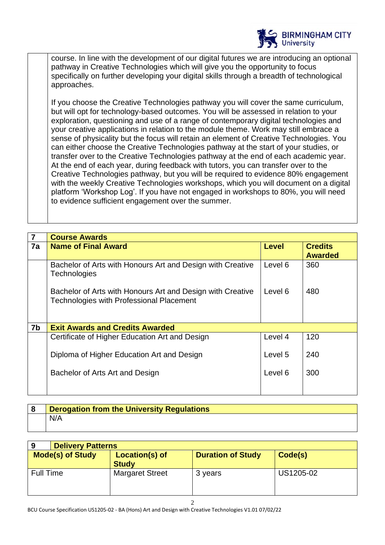

course. In line with the development of our digital futures we are introducing an optional pathway in Creative Technologies which will give you the opportunity to focus specifically on further developing your digital skills through a breadth of technological approaches.

If you choose the Creative Technologies pathway you will cover the same curriculum, but will opt for technology-based outcomes. You will be assessed in relation to your exploration, questioning and use of a range of contemporary digital technologies and your creative applications in relation to the module theme. Work may still embrace a sense of physicality but the focus will retain an element of Creative Technologies. You can either choose the Creative Technologies pathway at the start of your studies, or transfer over to the Creative Technologies pathway at the end of each academic year. At the end of each year, during feedback with tutors, you can transfer over to the Creative Technologies pathway, but you will be required to evidence 80% engagement with the weekly Creative Technologies workshops, which you will document on a digital platform 'Workshop Log'. If you have not engaged in workshops to 80%, you will need to evidence sufficient engagement over the summer.

| $\overline{7}$ | <b>Course Awards</b>                                                                                          |              |                                  |
|----------------|---------------------------------------------------------------------------------------------------------------|--------------|----------------------------------|
| 7a             | <b>Name of Final Award</b>                                                                                    | <b>Level</b> | <b>Credits</b><br><b>Awarded</b> |
|                | Bachelor of Arts with Honours Art and Design with Creative<br><b>Technologies</b>                             | Level 6      | 360                              |
|                | Bachelor of Arts with Honours Art and Design with Creative<br><b>Technologies with Professional Placement</b> | Level 6      | 480                              |
|                |                                                                                                               |              |                                  |
| 7b             | <b>Exit Awards and Credits Awarded</b>                                                                        |              |                                  |
|                | Certificate of Higher Education Art and Design                                                                | Level 4      | 120                              |
|                | Diploma of Higher Education Art and Design                                                                    | Level 5      | 240                              |
|                | Bachelor of Arts Art and Design                                                                               | Level 6      | 300                              |
|                |                                                                                                               |              |                                  |

| 18 | <b>Derogation from the University Regulations</b> |
|----|---------------------------------------------------|
|    | N/A                                               |

| <b>Delivery Patterns</b><br>9 |                                |                          |           |
|-------------------------------|--------------------------------|--------------------------|-----------|
| <b>Mode(s) of Study</b>       | Location(s) of<br><b>Study</b> | <b>Duration of Study</b> | Code(s)   |
| <b>Full Time</b>              | <b>Margaret Street</b>         | 3 years                  | US1205-02 |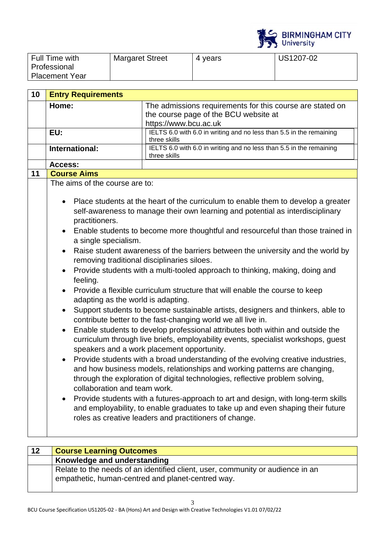

| Full Time with        | <b>Margaret Street</b> | 4 years | US1207-02 |
|-----------------------|------------------------|---------|-----------|
| Professional          |                        |         |           |
| <b>Placement Year</b> |                        |         |           |

| 10 | <b>Entry Requirements</b>                                                                                                                                       |                                                                                                                                                                                                                                                                                                                                                                                                                                                                                                                                                                                                                                                                                                                                                                                                                                                                                                                                                                                                                                                                                                                                                                                                                                                                                                                                                                                                                    |
|----|-----------------------------------------------------------------------------------------------------------------------------------------------------------------|--------------------------------------------------------------------------------------------------------------------------------------------------------------------------------------------------------------------------------------------------------------------------------------------------------------------------------------------------------------------------------------------------------------------------------------------------------------------------------------------------------------------------------------------------------------------------------------------------------------------------------------------------------------------------------------------------------------------------------------------------------------------------------------------------------------------------------------------------------------------------------------------------------------------------------------------------------------------------------------------------------------------------------------------------------------------------------------------------------------------------------------------------------------------------------------------------------------------------------------------------------------------------------------------------------------------------------------------------------------------------------------------------------------------|
|    | Home:                                                                                                                                                           | The admissions requirements for this course are stated on<br>the course page of the BCU website at                                                                                                                                                                                                                                                                                                                                                                                                                                                                                                                                                                                                                                                                                                                                                                                                                                                                                                                                                                                                                                                                                                                                                                                                                                                                                                                 |
|    |                                                                                                                                                                 | https://www.bcu.ac.uk                                                                                                                                                                                                                                                                                                                                                                                                                                                                                                                                                                                                                                                                                                                                                                                                                                                                                                                                                                                                                                                                                                                                                                                                                                                                                                                                                                                              |
|    | EU:                                                                                                                                                             | IELTS 6.0 with 6.0 in writing and no less than 5.5 in the remaining<br>three skills                                                                                                                                                                                                                                                                                                                                                                                                                                                                                                                                                                                                                                                                                                                                                                                                                                                                                                                                                                                                                                                                                                                                                                                                                                                                                                                                |
|    | International:                                                                                                                                                  | IELTS 6.0 with 6.0 in writing and no less than 5.5 in the remaining<br>three skills                                                                                                                                                                                                                                                                                                                                                                                                                                                                                                                                                                                                                                                                                                                                                                                                                                                                                                                                                                                                                                                                                                                                                                                                                                                                                                                                |
|    | Access:                                                                                                                                                         |                                                                                                                                                                                                                                                                                                                                                                                                                                                                                                                                                                                                                                                                                                                                                                                                                                                                                                                                                                                                                                                                                                                                                                                                                                                                                                                                                                                                                    |
| 11 | <b>Course Aims</b>                                                                                                                                              |                                                                                                                                                                                                                                                                                                                                                                                                                                                                                                                                                                                                                                                                                                                                                                                                                                                                                                                                                                                                                                                                                                                                                                                                                                                                                                                                                                                                                    |
|    | The aims of the course are to:                                                                                                                                  |                                                                                                                                                                                                                                                                                                                                                                                                                                                                                                                                                                                                                                                                                                                                                                                                                                                                                                                                                                                                                                                                                                                                                                                                                                                                                                                                                                                                                    |
|    | practitioners.<br>a single specialism.<br>$\bullet$<br>feeling.<br>adapting as the world is adapting.<br>$\bullet$<br>$\bullet$<br>collaboration and team work. | Place students at the heart of the curriculum to enable them to develop a greater<br>self-awareness to manage their own learning and potential as interdisciplinary<br>Enable students to become more thoughtful and resourceful than those trained in<br>Raise student awareness of the barriers between the university and the world by<br>removing traditional disciplinaries siloes.<br>Provide students with a multi-tooled approach to thinking, making, doing and<br>Provide a flexible curriculum structure that will enable the course to keep<br>Support students to become sustainable artists, designers and thinkers, able to<br>contribute better to the fast-changing world we all live in.<br>Enable students to develop professional attributes both within and outside the<br>curriculum through live briefs, employability events, specialist workshops, guest<br>speakers and a work placement opportunity.<br>Provide students with a broad understanding of the evolving creative industries,<br>and how business models, relationships and working patterns are changing,<br>through the exploration of digital technologies, reflective problem solving,<br>Provide students with a futures-approach to art and design, with long-term skills<br>and employability, to enable graduates to take up and even shaping their future<br>roles as creative leaders and practitioners of change. |

| 12 | <b>Course Learning Outcomes</b>                                                                                                     |
|----|-------------------------------------------------------------------------------------------------------------------------------------|
|    | Knowledge and understanding                                                                                                         |
|    | Relate to the needs of an identified client, user, community or audience in an<br>empathetic, human-centred and planet-centred way. |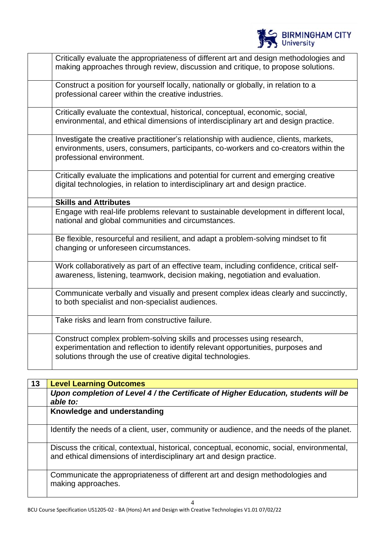

| Critically evaluate the appropriateness of different art and design methodologies and<br>making approaches through review, discussion and critique, to propose solutions.                                                |
|--------------------------------------------------------------------------------------------------------------------------------------------------------------------------------------------------------------------------|
| Construct a position for yourself locally, nationally or globally, in relation to a<br>professional career within the creative industries.                                                                               |
| Critically evaluate the contextual, historical, conceptual, economic, social,<br>environmental, and ethical dimensions of interdisciplinary art and design practice.                                                     |
| Investigate the creative practitioner's relationship with audience, clients, markets,<br>environments, users, consumers, participants, co-workers and co-creators within the<br>professional environment.                |
| Critically evaluate the implications and potential for current and emerging creative<br>digital technologies, in relation to interdisciplinary art and design practice.                                                  |
| <b>Skills and Attributes</b>                                                                                                                                                                                             |
| Engage with real-life problems relevant to sustainable development in different local,<br>national and global communities and circumstances.                                                                             |
| Be flexible, resourceful and resilient, and adapt a problem-solving mindset to fit<br>changing or unforeseen circumstances.                                                                                              |
| Work collaboratively as part of an effective team, including confidence, critical self-<br>awareness, listening, teamwork, decision making, negotiation and evaluation.                                                  |
| Communicate verbally and visually and present complex ideas clearly and succinctly,<br>to both specialist and non-specialist audiences.                                                                                  |
| Take risks and learn from constructive failure.                                                                                                                                                                          |
| Construct complex problem-solving skills and processes using research,<br>experimentation and reflection to identify relevant opportunities, purposes and<br>solutions through the use of creative digital technologies. |

| 13 | <b>Level Learning Outcomes</b>                                                                                                                                     |
|----|--------------------------------------------------------------------------------------------------------------------------------------------------------------------|
|    | Upon completion of Level 4 / the Certificate of Higher Education, students will be                                                                                 |
|    | able to:                                                                                                                                                           |
|    | Knowledge and understanding                                                                                                                                        |
|    | Identify the needs of a client, user, community or audience, and the needs of the planet.                                                                          |
|    | Discuss the critical, contextual, historical, conceptual, economic, social, environmental,<br>and ethical dimensions of interdisciplinary art and design practice. |
|    | Communicate the appropriateness of different art and design methodologies and<br>making approaches.                                                                |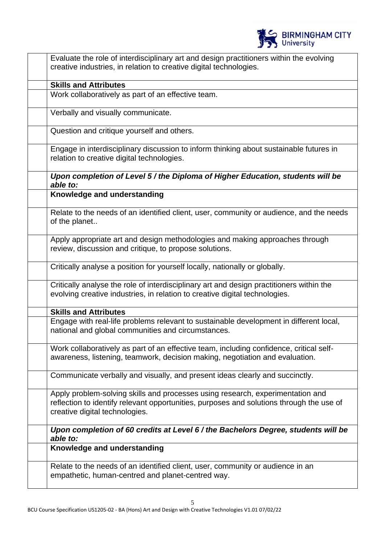

| Evaluate the role of interdisciplinary art and design practitioners within the evolving<br>creative industries, in relation to creative digital technologies.                                                |
|--------------------------------------------------------------------------------------------------------------------------------------------------------------------------------------------------------------|
| <b>Skills and Attributes</b>                                                                                                                                                                                 |
| Work collaboratively as part of an effective team.                                                                                                                                                           |
| Verbally and visually communicate.                                                                                                                                                                           |
| Question and critique yourself and others.                                                                                                                                                                   |
| Engage in interdisciplinary discussion to inform thinking about sustainable futures in<br>relation to creative digital technologies.                                                                         |
| Upon completion of Level 5 / the Diploma of Higher Education, students will be<br>able to:                                                                                                                   |
| Knowledge and understanding                                                                                                                                                                                  |
| Relate to the needs of an identified client, user, community or audience, and the needs<br>of the planet                                                                                                     |
| Apply appropriate art and design methodologies and making approaches through<br>review, discussion and critique, to propose solutions.                                                                       |
| Critically analyse a position for yourself locally, nationally or globally.                                                                                                                                  |
| Critically analyse the role of interdisciplinary art and design practitioners within the<br>evolving creative industries, in relation to creative digital technologies.                                      |
| <b>Skills and Attributes</b>                                                                                                                                                                                 |
| Engage with real-life problems relevant to sustainable development in different local,<br>national and global communities and circumstances.                                                                 |
| Work collaboratively as part of an effective team, including confidence, critical self-<br>awareness, listening, teamwork, decision making, negotiation and evaluation.                                      |
| Communicate verbally and visually, and present ideas clearly and succinctly.                                                                                                                                 |
| Apply problem-solving skills and processes using research, experimentation and<br>reflection to identify relevant opportunities, purposes and solutions through the use of<br>creative digital technologies. |
| Upon completion of 60 credits at Level 6 / the Bachelors Degree, students will be<br>able to:                                                                                                                |
| Knowledge and understanding                                                                                                                                                                                  |
| Relate to the needs of an identified client, user, community or audience in an<br>empathetic, human-centred and planet-centred way.                                                                          |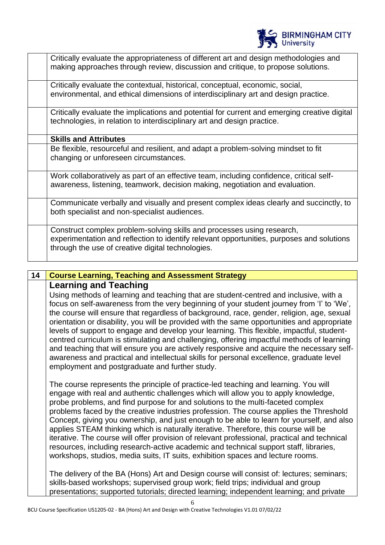

| Critically evaluate the appropriateness of different art and design methodologies and<br>making approaches through review, discussion and critique, to propose solutions.                                                |
|--------------------------------------------------------------------------------------------------------------------------------------------------------------------------------------------------------------------------|
| Critically evaluate the contextual, historical, conceptual, economic, social,<br>environmental, and ethical dimensions of interdisciplinary art and design practice.                                                     |
| Critically evaluate the implications and potential for current and emerging creative digital<br>technologies, in relation to interdisciplinary art and design practice.                                                  |
| <b>Skills and Attributes</b>                                                                                                                                                                                             |
| Be flexible, resourceful and resilient, and adapt a problem-solving mindset to fit<br>changing or unforeseen circumstances.                                                                                              |
| Work collaboratively as part of an effective team, including confidence, critical self-<br>awareness, listening, teamwork, decision making, negotiation and evaluation.                                                  |
| Communicate verbally and visually and present complex ideas clearly and succinctly, to<br>both specialist and non-specialist audiences.                                                                                  |
| Construct complex problem-solving skills and processes using research,<br>experimentation and reflection to identify relevant opportunities, purposes and solutions<br>through the use of creative digital technologies. |

## **14 Course Learning, Teaching and Assessment Strategy Learning and Teaching** Using methods of learning and teaching that are student-centred and inclusive, with a focus on self-awareness from the very beginning of your student journey from 'I' to 'We', the course will ensure that regardless of background, race, gender, religion, age, sexual orientation or disability, you will be provided with the same opportunities and appropriate levels of support to engage and develop your learning. This flexible, impactful, studentcentred curriculum is stimulating and challenging, offering impactful methods of learning and teaching that will ensure you are actively responsive and acquire the necessary selfawareness and practical and intellectual skills for personal excellence, graduate level employment and postgraduate and further study. The course represents the principle of practice-led teaching and learning. You will engage with real and authentic challenges which will allow you to apply knowledge, probe problems, and find purpose for and solutions to the multi-faceted complex problems faced by the creative industries profession. The course applies the Threshold Concept, giving you ownership, and just enough to be able to learn for yourself, and also applies STEAM thinking which is naturally iterative. Therefore, this course will be iterative. The course will offer provision of relevant professional, practical and technical resources, including research-active academic and technical support staff, libraries, workshops, studios, media suits, IT suits, exhibition spaces and lecture rooms. The delivery of the BA (Hons) Art and Design course will consist of: lectures; seminars; skills-based workshops; supervised group work; field trips; individual and group presentations; supported tutorials; directed learning; independent learning; and private

6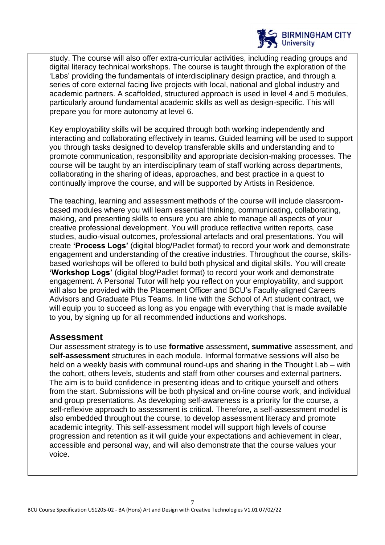

study. The course will also offer extra-curricular activities, including reading groups and digital literacy technical workshops. The course is taught through the exploration of the 'Labs' providing the fundamentals of interdisciplinary design practice, and through a series of core external facing live projects with local, national and global industry and academic partners. A scaffolded, structured approach is used in level 4 and 5 modules, particularly around fundamental academic skills as well as design-specific. This will prepare you for more autonomy at level 6.

Key employability skills will be acquired through both working independently and interacting and collaborating effectively in teams. Guided learning will be used to support you through tasks designed to develop transferable skills and understanding and to promote communication, responsibility and appropriate decision-making processes. The course will be taught by an interdisciplinary team of staff working across departments, collaborating in the sharing of ideas, approaches, and best practice in a quest to continually improve the course, and will be supported by Artists in Residence.

The teaching, learning and assessment methods of the course will include classroombased modules where you will learn essential thinking, communicating, collaborating, making, and presenting skills to ensure you are able to manage all aspects of your creative professional development. You will produce reflective written reports, case studies, audio-visual outcomes, professional artefacts and oral presentations. You will create **'Process Logs'** (digital blog/Padlet format) to record your work and demonstrate engagement and understanding of the creative industries. Throughout the course, skillsbased workshops will be offered to build both physical and digital skills. You will create **'Workshop Logs'** (digital blog/Padlet format) to record your work and demonstrate engagement. A Personal Tutor will help you reflect on your employability, and support will also be provided with the Placement Officer and BCU's Faculty-aligned Careers Advisors and Graduate Plus Teams. In line with the School of Art student contract, we will equip you to succeed as long as you engage with everything that is made available to you, by signing up for all recommended inductions and workshops.

## **Assessment**

Our assessment strategy is to use **formative** assessment**, summative** assessment, and **self-assessment** structures in each module. Informal formative sessions will also be held on a weekly basis with communal round-ups and sharing in the Thought Lab – with the cohort, others levels, students and staff from other courses and external partners. The aim is to build confidence in presenting ideas and to critique yourself and others from the start. Submissions will be both physical and on-line course work, and individual and group presentations. As developing self-awareness is a priority for the course, a self-reflexive approach to assessment is critical. Therefore, a self-assessment model is also embedded throughout the course, to develop assessment literacy and promote academic integrity. This self-assessment model will support high levels of course progression and retention as it will guide your expectations and achievement in clear, accessible and personal way, and will also demonstrate that the course values your voice.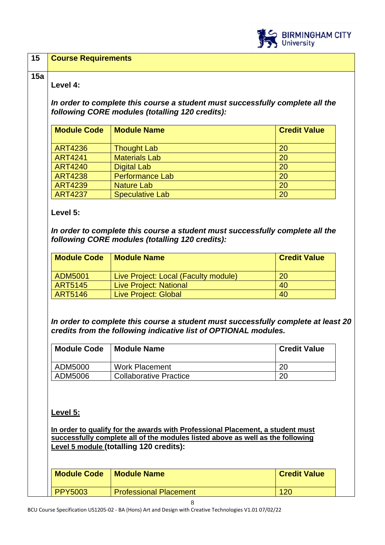

### **15 Course Requirements**

#### **15a**

### **Level 4:**

*In order to complete this course a student must successfully complete all the following CORE modules (totalling 120 credits):*

| <b>Module Code</b> | <b>Module Name</b>     | <b>Credit Value</b> |
|--------------------|------------------------|---------------------|
| <b>ART4236</b>     | <b>Thought Lab</b>     | 20                  |
| <b>ART4241</b>     | <b>Materials Lab</b>   | 20                  |
| <b>ART4240</b>     | <b>Digital Lab</b>     | 20                  |
| <b>ART4238</b>     | <b>Performance Lab</b> | 20                  |
| <b>ART4239</b>     | <b>Nature Lab</b>      | 20                  |
| <b>ART4237</b>     | <b>Speculative Lab</b> | 20                  |

### **Level 5:**

*In order to complete this course a student must successfully complete all the following CORE modules (totalling 120 credits):*

| <b>Module Code</b> | <b>Module Name</b>                   | <b>Credit Value</b> |
|--------------------|--------------------------------------|---------------------|
| ADM5001            | Live Project: Local (Faculty module) | 20                  |
| ART5145            | <b>Live Project: National</b>        | 40                  |
| <b>ART5146</b>     | <b>Live Project: Global</b>          | 40                  |

*In order to complete this course a student must successfully complete at least 20 credits from the following indicative list of OPTIONAL modules.* 

| <b>Module Code</b> | <b>Module Name</b>            | <b>Credit Value</b> |
|--------------------|-------------------------------|---------------------|
| ADM5000            | <b>Work Placement</b>         | 20                  |
| ADM5006            | <b>Collaborative Practice</b> | 20                  |

## **Level 5:**

**In order to qualify for the awards with Professional Placement, a student must successfully complete all of the modules listed above as well as the following Level 5 module (totalling 120 credits):**

| <b>Module Code</b> | <b>Module Name</b>            | <b>Credit Value</b> |
|--------------------|-------------------------------|---------------------|
| <b>PPY5003</b>     | <b>Professional Placement</b> |                     |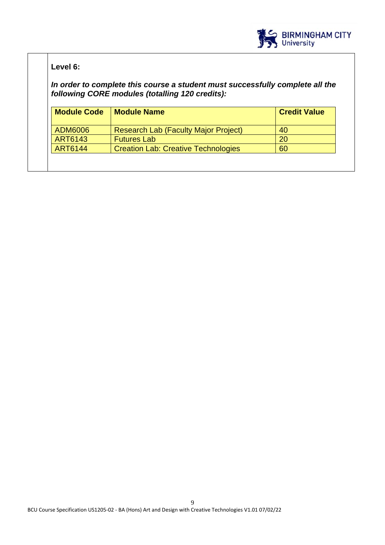

## **Level 6:**

*In order to complete this course a student must successfully complete all the following CORE modules (totalling 120 credits):*

| <b>Module Code</b> | <b>Module Name</b>                          | <b>Credit Value</b> |
|--------------------|---------------------------------------------|---------------------|
| ADM6006            | <b>Research Lab (Faculty Major Project)</b> | 40                  |
| <b>ART6143</b>     | <b>Futures Lab</b>                          | 20                  |
| <b>ART6144</b>     | <b>Creation Lab: Creative Technologies</b>  | 60                  |
|                    |                                             |                     |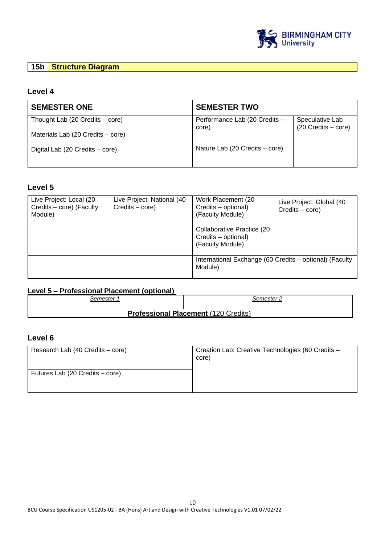

## **15b Structure Diagram**

### **Level 4**

| <b>SEMESTER ONE</b>               | <b>SEMESTER TWO</b>                    |                                          |
|-----------------------------------|----------------------------------------|------------------------------------------|
| Thought Lab (20 Credits – core)   | Performance Lab (20 Credits -<br>core) | Speculative Lab<br>$(20$ Credits – core) |
| Materials Lab (20 Credits – core) |                                        |                                          |
| Digital Lab (20 Credits – core)   | Nature Lab (20 Credits – core)         |                                          |

#### **Level 5**

| Live Project: Local (20<br>Credits - core) (Faculty<br>Module) | Live Project: National (40<br>Credits – core) | Work Placement (20<br>Credits - optional)<br>(Faculty Module)<br>Collaborative Practice (20<br>Credits - optional)<br>(Faculty Module) | Live Project: Global (40<br>$C$ redits $-$ core) |
|----------------------------------------------------------------|-----------------------------------------------|----------------------------------------------------------------------------------------------------------------------------------------|--------------------------------------------------|
|                                                                |                                               | International Exchange (60 Credits - optional) (Faculty<br>Module)                                                                     |                                                  |

## **Level 5 – Professional Placement (optional)**

| ′ emester۔                                  | Semester 2 |
|---------------------------------------------|------------|
| <b>Professional Placement (120 Credits)</b> |            |

## **Level 6**

| Research Lab (40 Credits – core) | Creation Lab: Creative Technologies (60 Credits -<br>core) |
|----------------------------------|------------------------------------------------------------|
| Futures Lab (20 Credits – core)  |                                                            |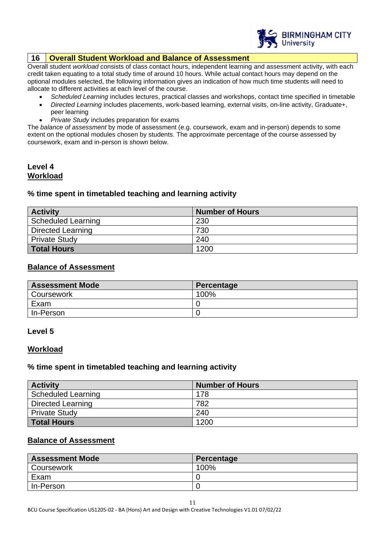

### **16 Overall Student Workload and Balance of Assessment**

Overall student *workload* consists of class contact hours, independent learning and assessment activity, with each credit taken equating to a total study time of around 10 hours. While actual contact hours may depend on the optional modules selected, the following information gives an indication of how much time students will need to allocate to different activities at each level of the course.

- *Scheduled Learning* includes lectures, practical classes and workshops, contact time specified in timetable
- *Directed Learning* includes placements, work-based learning, external visits, on-line activity, Graduate+, peer learning
- *Private Study* includes preparation for exams

The *balance of assessment* by mode of assessment (e.g. coursework, exam and in-person) depends to some extent on the optional modules chosen by students. The approximate percentage of the course assessed by coursework, exam and in-person is shown below.

### **Level 4 Workload**

#### **% time spent in timetabled teaching and learning activity**

| <b>Activity</b>           | <b>Number of Hours</b> |
|---------------------------|------------------------|
| <b>Scheduled Learning</b> | 230                    |
| Directed Learning         | 730                    |
| <b>Private Study</b>      | 240                    |
| Total Hours               | 1200                   |

#### **Balance of Assessment**

| <b>Assessment Mode</b> | Percentage |
|------------------------|------------|
| Coursework             | 100%       |
| Exam                   |            |
| In-Person              |            |

#### **Level 5**

#### **Workload**

#### **% time spent in timetabled teaching and learning activity**

| <b>Activity</b>          | <b>Number of Hours</b> |
|--------------------------|------------------------|
| Scheduled Learning       | 178                    |
| <b>Directed Learning</b> | 782                    |
| <b>Private Study</b>     | 240                    |
| <b>Total Hours</b>       | 1200                   |

### **Balance of Assessment**

| <b>Assessment Mode</b> | Percentage |
|------------------------|------------|
| Coursework             | 100%       |
| Exam                   |            |
| In-Person              |            |